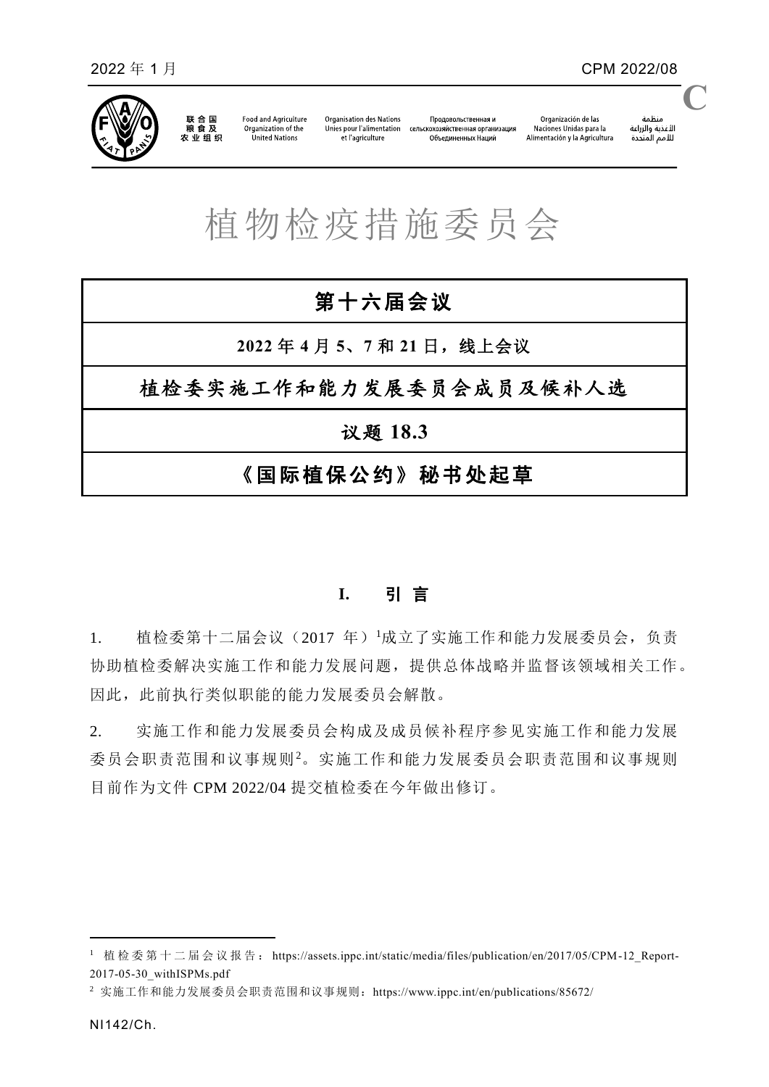

联合国<br>粮食及 农业组织

**Food and Agriculture** Organization of the United Nations

**Organisation des Nations** Unies pour l'alimentation et l'agriculture

Продовольственная и сельскохозяйственная организация объединенных Наций

منظمة سننس<br>الأغذية والزراعة<br>للأمم المتحدة **C**

## 植物检疫措施委员会

# 第十六届会议 **2022** 年 **4** 月 **5**、**7** 和 **21** 日,线上会议 植检委实施工作和能力发展委员会成员及候补人选 议题 **18.3** 《国际植保公约》秘书处起草

## **I.** 引 言

1. 植检委第十二届会议(2017年)据成立了实施工作和能力发展委员会,负责 协助植检委解决实施工作和能力发展问题,提供总体战略并监督该领域相关工作。 因此,此前执行类似职能的能力发展委员会解散。

2. 实施工作和能力发展委员会构成及成员候补程序参见实施工作和能力发展 委员会职责范围和议事规则<sup>2</sup>。实施工作和能力发展委员会职责范围和议事规则 目前作为文件 CPM 2022/04 提交植检委在今年做出修订。

 $\overline{a}$ 

<sup>1</sup> 植 检 委 第 十 二 届 会 议 报 告 : [https://assets.ippc.int/static/media/files/publication/en/2017/05/CPM-12\\_Report-](https://assets.ippc.int/static/media/files/publication/en/2017/05/CPM-12_Report-2017-05-30_withISPMs.pdf)[2017-05-30\\_withISPMs.pdf](https://assets.ippc.int/static/media/files/publication/en/2017/05/CPM-12_Report-2017-05-30_withISPMs.pdf)

<sup>2</sup> 实施工作和能力发展委员会职责范围和议事规则:<https://www.ippc.int/en/publications/85672/>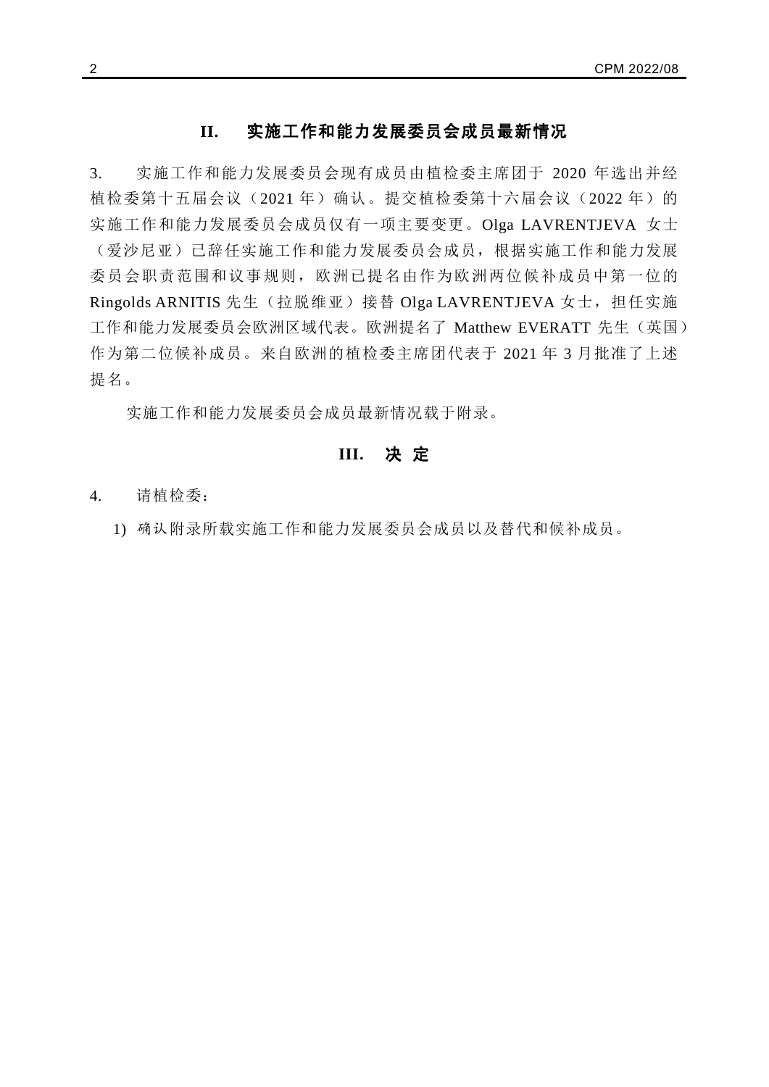#### **II.** 实施工作和能力发展委员会成员最新情况

3. 实施工作和能力发展委员会现有成员由植检委主席团于 2020 年选出并经 植检委第十五届会议(2021年)确认。提交植检委第十六届会议(2022年)的 实施工作和能力发展委员会成员仅有一项主要变更。Olga LAVRENTJEVA 女士 (爱沙尼亚)已辞任实施工作和能力发展委员会成员,根据实施工作和能力发展 委员会职责范围和议事规则,欧洲已提名由作为欧洲两位候补成员中第一位的 Ringolds ARNITIS 先生(拉脱维亚)接替 Olga LAVRENTJEVA 女士, 担任实施 工作和能力发展委员会欧洲区域代表。欧洲提名了 Matthew EVERATT 先生(英国) 作为第二位候补成员。来自欧洲的植检委主席团代表于 2021 年 3 月批准了上述 提名。

实施工作和能力发展委员会成员最新情况载于附录。

#### **III.** 决 定

4. 请植检委:

1) 确认附录所载实施工作和能力发展委员会成员以及替代和候补成员。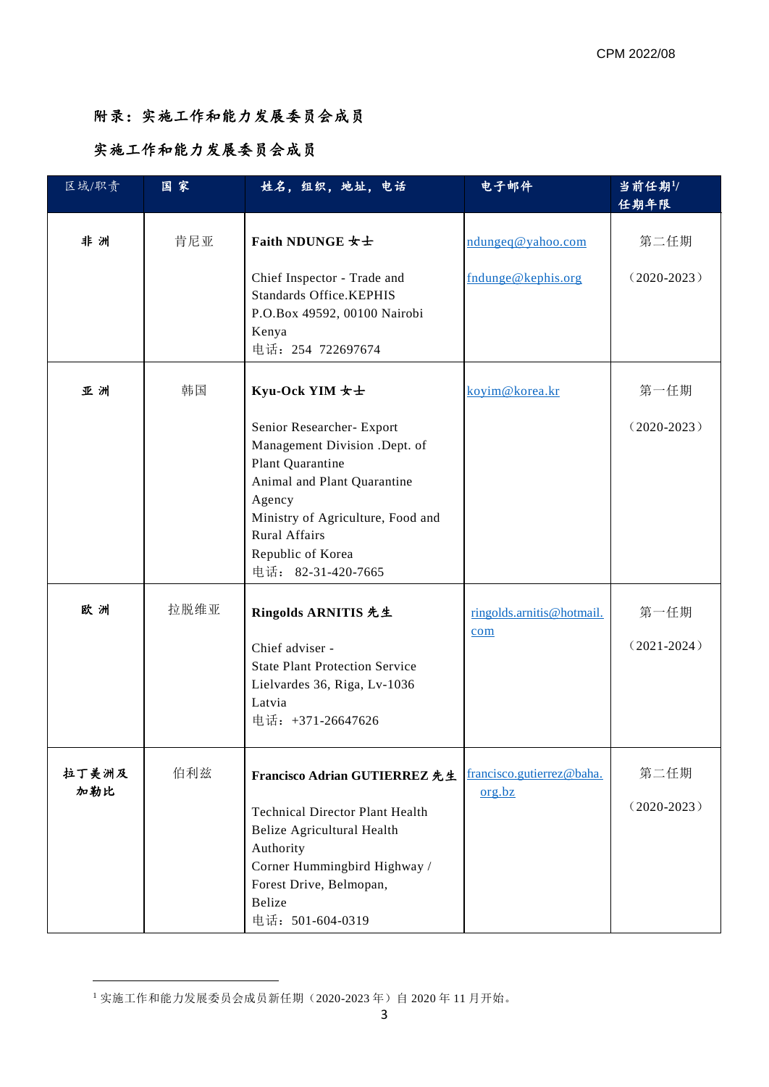## 附录:实施工作和能力发展委员会成员

### 实施工作和能力发展委员会成员

| 区域/职责        | 国家   | 姓名,组织,地址,电话                                                                                                                                                                                                                                       | 电子邮件                                    | 当前任期1/<br>任期年限          |
|--------------|------|---------------------------------------------------------------------------------------------------------------------------------------------------------------------------------------------------------------------------------------------------|-----------------------------------------|-------------------------|
| 非洲           | 肯尼亚  | <b>Faith NDUNGE 女士</b><br>Chief Inspector - Trade and<br><b>Standards Office.KEPHIS</b><br>P.O.Box 49592, 00100 Nairobi<br>Kenya<br>电话: 254 722697674                                                                                             | ndungeq@yahoo.com<br>fndunge@kephis.org | 第二任期<br>$(2020-2023)$   |
| 亚洲           | 韩国   | Kyu-Ock YIM 女士<br>Senior Researcher- Export<br>Management Division .Dept. of<br>Plant Quarantine<br>Animal and Plant Quarantine<br>Agency<br>Ministry of Agriculture, Food and<br><b>Rural Affairs</b><br>Republic of Korea<br>电话: 82-31-420-7665 | koyim@korea.kr                          | 第一任期<br>$(2020-2023)$   |
| 欧洲           | 拉脱维亚 | Ringolds ARNITIS 先生<br>Chief adviser -<br><b>State Plant Protection Service</b><br>Lielvardes 36, Riga, Lv-1036<br>Latvia<br>电话: +371-26647626                                                                                                    | ringolds.arnitis@hotmail.<br>com        | 第一任期<br>$(2021 - 2024)$ |
| 拉丁美洲及<br>加勒比 | 伯利兹  | Francisco Adrian GUTIERREZ 先生<br><b>Technical Director Plant Health</b><br>Belize Agricultural Health<br>Authority<br>Corner Hummingbird Highway /<br>Forest Drive, Belmopan,<br>Belize<br>电话: 501-604-0319                                       | francisco.gutierrez@baha.<br>org.bz     | 第二任期<br>$(2020-2023)$   |

**.** 

<sup>1</sup> 实施工作和能力发展委员会成员新任期(2020-2023 年)自 2020 年 11 月开始。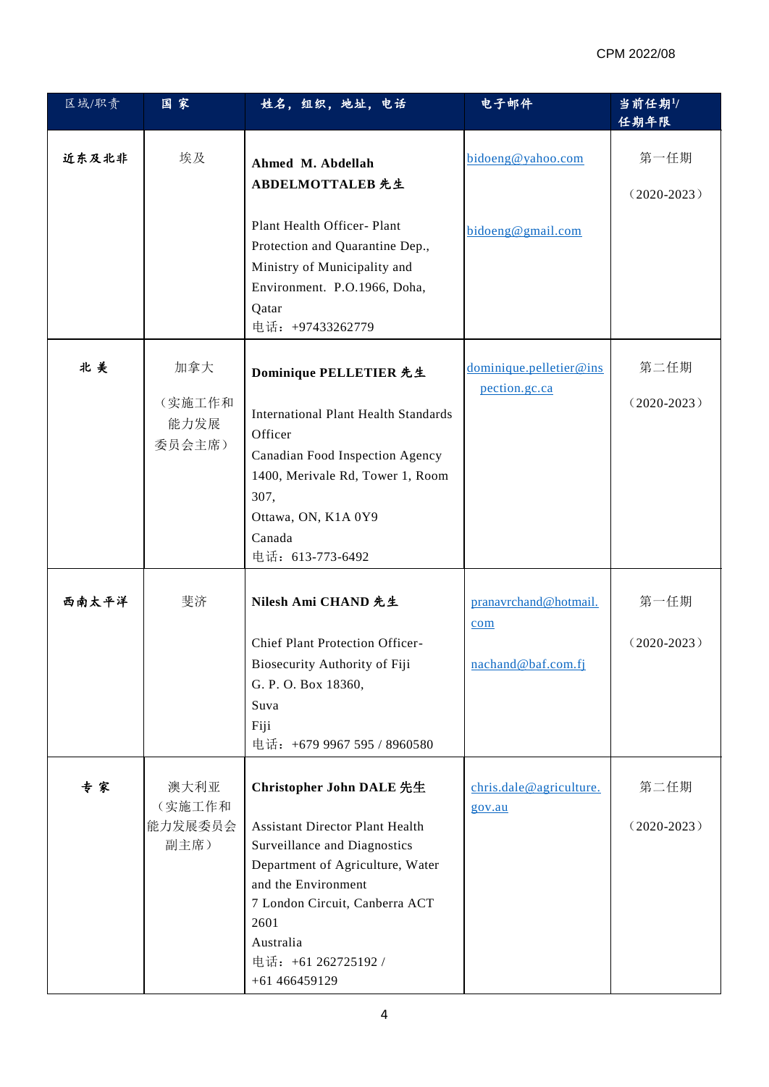#### CPM 2022/08

| 区域/职责 | 国家                                | 姓名,组织,地址,电话                                                                                                                                                                                                                                                  | 电子邮件                                               | 当前任期1/<br>任期年限          |
|-------|-----------------------------------|--------------------------------------------------------------------------------------------------------------------------------------------------------------------------------------------------------------------------------------------------------------|----------------------------------------------------|-------------------------|
| 近东及北非 | 埃及                                | Ahmed M. Abdellah<br>ABDELMOTTALEB 先生                                                                                                                                                                                                                        | bidoeng@yahoo.com                                  | 第一任期<br>$(2020-2023)$   |
|       |                                   | Plant Health Officer- Plant<br>Protection and Quarantine Dep.,<br>Ministry of Municipality and<br>Environment. P.O.1966, Doha,<br>Qatar<br>电话: +97433262779                                                                                                  | bidoeng@gmail.com                                  |                         |
| 北美    | 加拿大<br>(实施工作和<br>能力发展<br>委员会主席)   | Dominique PELLETIER 先生<br><b>International Plant Health Standards</b><br>Officer<br>Canadian Food Inspection Agency<br>1400, Merivale Rd, Tower 1, Room<br>307,<br>Ottawa, ON, K1A 0Y9<br>Canada<br>电话: 613-773-6492                                         | dominique.pelletier@ins<br>pection.gc.ca           | 第二任期<br>$(2020 - 2023)$ |
| 西南太平洋 | 斐济                                | Nilesh Ami CHAND 先生<br><b>Chief Plant Protection Officer-</b><br>Biosecurity Authority of Fiji<br>G. P. O. Box 18360,<br>Suva<br>Fiji<br>电话: +679 9967 595 / 8960580                                                                                         | pranavrchand@hotmail.<br>com<br>nachand@baf.com.fj | 第一任期<br>$(2020-2023)$   |
| 专家    | 澳大利亚<br>(实施工作和<br>能力发展委员会<br>副主席) | Christopher John DALE 先生<br><b>Assistant Director Plant Health</b><br>Surveillance and Diagnostics<br>Department of Agriculture, Water<br>and the Environment<br>7 London Circuit, Canberra ACT<br>2601<br>Australia<br>电话: +61 262725192 /<br>+61 466459129 | chris.dale@agriculture.<br>gov.au                  | 第二任期<br>$(2020-2023)$   |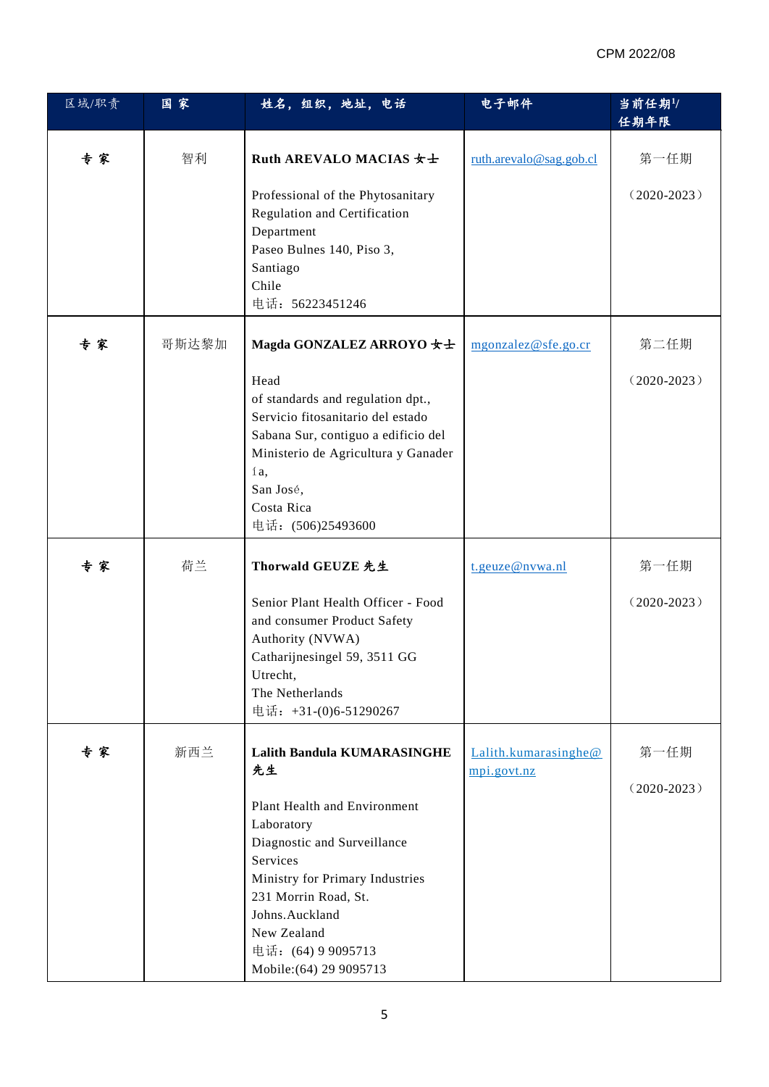| 区域/职责 | 国家    | 姓名,组织,地址,电话                                                                                                                                                                                                                        | 电子邮件                                | 当前任期1/<br>任期年限        |
|-------|-------|------------------------------------------------------------------------------------------------------------------------------------------------------------------------------------------------------------------------------------|-------------------------------------|-----------------------|
| 专家    | 智利    | Ruth AREVALO MACIAS 女士                                                                                                                                                                                                             | ruth.arevalo@sag.gob.cl             | 第一任期                  |
|       |       | Professional of the Phytosanitary<br>Regulation and Certification<br>Department<br>Paseo Bulnes 140, Piso 3,<br>Santiago<br>Chile<br>电话: 56223451246                                                                               |                                     | $(2020-2023)$         |
| 专家    | 哥斯达黎加 | Magda GONZALEZ ARROYO 女士                                                                                                                                                                                                           | mgonzalez@sfe.go.cr                 | 第二任期                  |
|       |       | Head<br>of standards and regulation dpt.,<br>Servicio fitosanitario del estado<br>Sabana Sur, contiguo a edificio del<br>Ministerio de Agricultura y Ganader<br>ía,<br>San José,<br>Costa Rica<br>电话: (506)25493600                |                                     | $(2020-2023)$         |
| 专家    | 荷兰    | Thorwald GEUZE 先生                                                                                                                                                                                                                  | t.geuze@nvwa.nl                     | 第一任期                  |
|       |       | Senior Plant Health Officer - Food<br>and consumer Product Safety<br>Authority (NVWA)<br>Catharijnesingel 59, 3511 GG<br>Utrecht,<br>The Netherlands<br>电话: +31-(0)6-51290267                                                      |                                     | $(2020-2023)$         |
| 专家    | 新西兰   | <b>Lalith Bandula KUMARASINGHE</b><br>先生                                                                                                                                                                                           | Lalith.kumarasinghe@<br>mpi.govt.nz | 第一任期<br>$(2020-2023)$ |
|       |       | Plant Health and Environment<br>Laboratory<br>Diagnostic and Surveillance<br>Services<br>Ministry for Primary Industries<br>231 Morrin Road, St.<br>Johns.Auckland<br>New Zealand<br>电话: (64) 9 9095713<br>Mobile: (64) 29 9095713 |                                     |                       |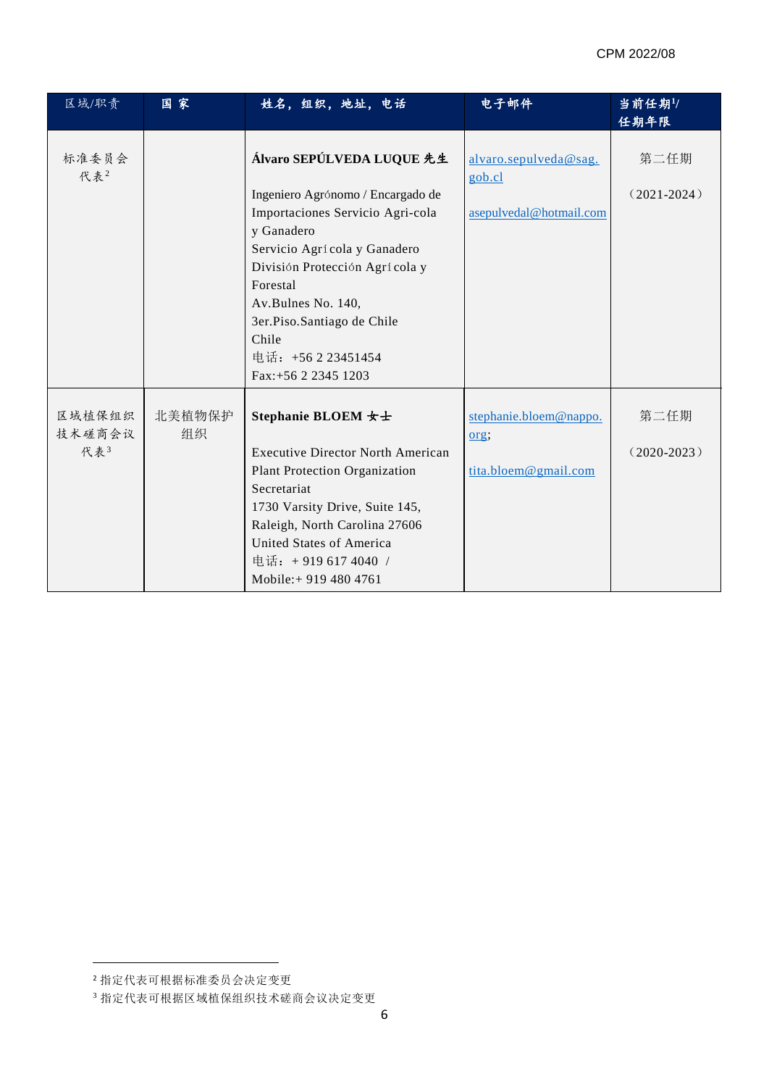| 区域/职责            | 国家           | 姓名,组织,地址,电话                                    | 电子邮件                            | 当前任期1/<br>任期年限 |
|------------------|--------------|------------------------------------------------|---------------------------------|----------------|
| 标准委员会<br>代表2     |              | Álvaro SEPÚLVEDA LUQUE 先生                      | alvaro.sepulveda@sag.<br>gob.cl | 第二任期           |
|                  |              | Ingeniero Agrónomo / Encargado de              |                                 | $(2021-2024)$  |
|                  |              | Importaciones Servicio Agri-cola<br>y Ganadero | asepulvedal@hotmail.com         |                |
|                  |              | Servicio Agrícola y Ganadero                   |                                 |                |
|                  |              | División Protección Agrícola y                 |                                 |                |
|                  |              | Forestal                                       |                                 |                |
|                  |              | Av.Bulnes No. 140,                             |                                 |                |
|                  |              | 3er.Piso.Santiago de Chile                     |                                 |                |
|                  |              | Chile                                          |                                 |                |
|                  |              | 电话: +56 2 23451454                             |                                 |                |
|                  |              | Fax:+56 2 2345 1203                            |                                 |                |
| 区域植保组织<br>技术磋商会议 | 北美植物保护<br>组织 | Stephanie BLOEM 女士                             | stephanie.bloem@nappo.<br>org;  | 第二任期           |
| 代表3              |              | <b>Executive Director North American</b>       |                                 | $(2020-2023)$  |
|                  |              | <b>Plant Protection Organization</b>           | tita.bloem@gmail.com            |                |
|                  |              | Secretariat                                    |                                 |                |
|                  |              | 1730 Varsity Drive, Suite 145,                 |                                 |                |
|                  |              | Raleigh, North Carolina 27606                  |                                 |                |
|                  |              | United States of America                       |                                 |                |
|                  |              | 电话: +919 617 4040 /                            |                                 |                |
|                  |              | Mobile: + 919 480 4761                         |                                 |                |

**.** 

<sup>2</sup> 指定代表可根据标准委员会决定变更

<sup>3</sup> 指定代表可根据区域植保组织技术磋商会议决定变更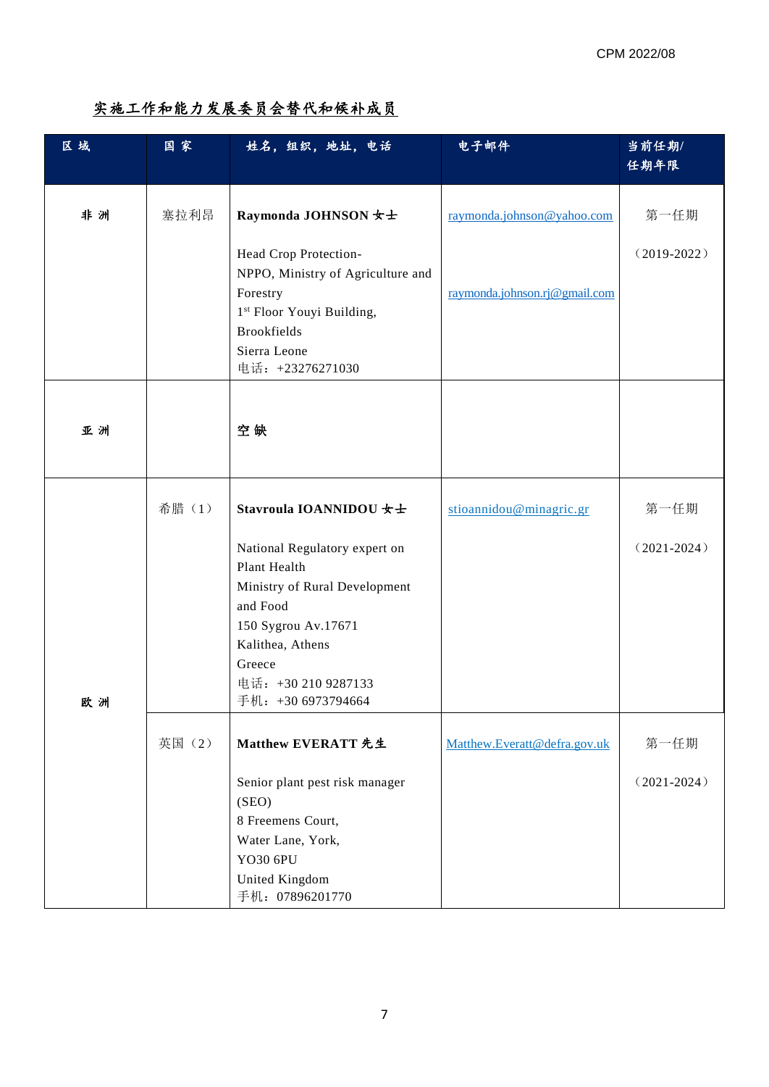## 实施工作和能力发展委员会替代和候补成员

| 区域 | 国家     | 姓名,组织,地址,电话                                       | 电子邮件                          | 当前任期/           |
|----|--------|---------------------------------------------------|-------------------------------|-----------------|
|    |        |                                                   |                               | 任期年限            |
|    |        |                                                   |                               |                 |
| 非洲 | 塞拉利昂   | Raymonda JOHNSON 女士                               | raymonda.johnson@yahoo.com    | 第一任期            |
|    |        | Head Crop Protection-                             |                               | $(2019-2022)$   |
|    |        | NPPO, Ministry of Agriculture and                 |                               |                 |
|    |        | Forestry<br>1 <sup>st</sup> Floor Youyi Building, | raymonda.johnson.rj@gmail.com |                 |
|    |        | <b>Brookfields</b>                                |                               |                 |
|    |        | Sierra Leone                                      |                               |                 |
|    |        | 电话: +23276271030                                  |                               |                 |
|    |        |                                                   |                               |                 |
| 亚洲 |        | 空缺                                                |                               |                 |
|    |        |                                                   |                               |                 |
|    |        |                                                   |                               |                 |
|    | 希腊(1)  | Stavroula IOANNIDOU 女士                            | stioannidou@minagric.gr       | 第一任期            |
|    |        | National Regulatory expert on                     |                               | $(2021 - 2024)$ |
|    |        | Plant Health                                      |                               |                 |
|    |        | Ministry of Rural Development<br>and Food         |                               |                 |
|    |        | 150 Sygrou Av.17671                               |                               |                 |
|    |        | Kalithea, Athens                                  |                               |                 |
|    |        | Greece                                            |                               |                 |
| 欧洲 |        | 电话: +30 210 9287133<br>手机: +30 6973794664         |                               |                 |
|    |        |                                                   |                               |                 |
|    | 英国 (2) | Matthew EVERATT 先生                                | Matthew.Everatt@defra.gov.uk  | 第一任期            |
|    |        | Senior plant pest risk manager                    |                               | $(2021 - 2024)$ |
|    |        | (SEO)                                             |                               |                 |
|    |        | 8 Freemens Court,<br>Water Lane, York,            |                               |                 |
|    |        | YO30 6PU                                          |                               |                 |
|    |        | United Kingdom                                    |                               |                 |
|    |        | 手机: 07896201770                                   |                               |                 |